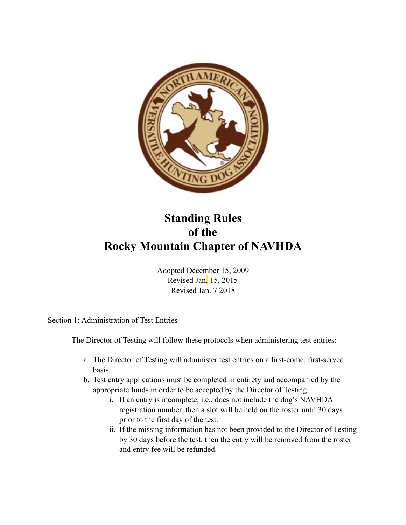

## **Standing Rules of the Rocky Mountain Chapter of NAVHDA**

Adopted December 15, 2009 Revised Jan. 15, 2015 Revised Jan. 7 2018

Section 1: Administration of Test Entries

The Director of Testing will follow these protocols when administering test entries:

- a. The Director of Testing will administer test entries on a first-come, first-served basis.
- b. Test entry applications must be completed in entirety and accompanied by the appropriate funds in order to be accepted by the Director of Testing.
	- i. If an entry is incomplete, i.e., does not include the dog's NAVHDA registration number, then a slot will be held on the roster until 30 days prior to the first day of the test.
	- ii. If the missing information has not been provided to the Director of Testing by 30 days before the test, then the entry will be removed from the roster and entry fee will be refunded.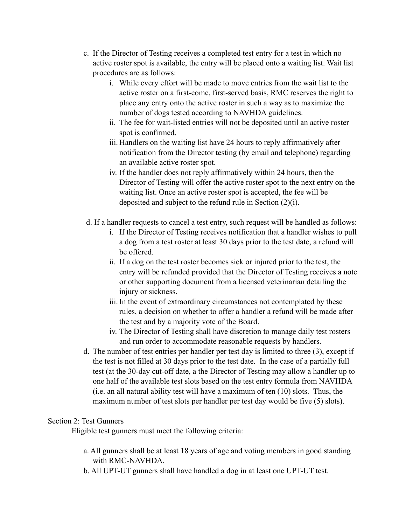- c. If the Director of Testing receives a completed test entry for a test in which no active roster spot is available, the entry will be placed onto a waiting list. Wait list procedures are as follows:
	- i. While every effort will be made to move entries from the wait list to the active roster on a first-come, first-served basis, RMC reserves the right to place any entry onto the active roster in such a way as to maximize the number of dogs tested according to NAVHDA guidelines.
	- ii. The fee for wait-listed entries will not be deposited until an active roster spot is confirmed.
	- iii. Handlers on the waiting list have 24 hours to reply affirmatively after notification from the Director testing (by email and telephone) regarding an available active roster spot.
	- iv. If the handler does not reply affirmatively within 24 hours, then the Director of Testing will offer the active roster spot to the next entry on the waiting list. Once an active roster spot is accepted, the fee will be deposited and subject to the refund rule in Section (2)(i).
- d. If a handler requests to cancel a test entry, such request will be handled as follows:
	- i. If the Director of Testing receives notification that a handler wishes to pull a dog from a test roster at least 30 days prior to the test date, a refund will be offered.
	- ii. If a dog on the test roster becomes sick or injured prior to the test, the entry will be refunded provided that the Director of Testing receives a note or other supporting document from a licensed veterinarian detailing the injury or sickness.
	- iii. In the event of extraordinary circumstances not contemplated by these rules, a decision on whether to offer a handler a refund will be made after the test and by a majority vote of the Board.
	- iv. The Director of Testing shall have discretion to manage daily test rosters and run order to accommodate reasonable requests by handlers.
- d. The number of test entries per handler per test day is limited to three (3), except if the test is not filled at 30 days prior to the test date. In the case of a partially full test (at the 30-day cut-off date, a the Director of Testing may allow a handler up to one half of the available test slots based on the test entry formula from NAVHDA (i.e. an all natural ability test will have a maximum of ten (10) slots. Thus, the maximum number of test slots per handler per test day would be five (5) slots).

## Section 2: Test Gunners

Eligible test gunners must meet the following criteria:

- a. All gunners shall be at least 18 years of age and voting members in good standing with RMC-NAVHDA.
- b. All UPT-UT gunners shall have handled a dog in at least one UPT-UT test.